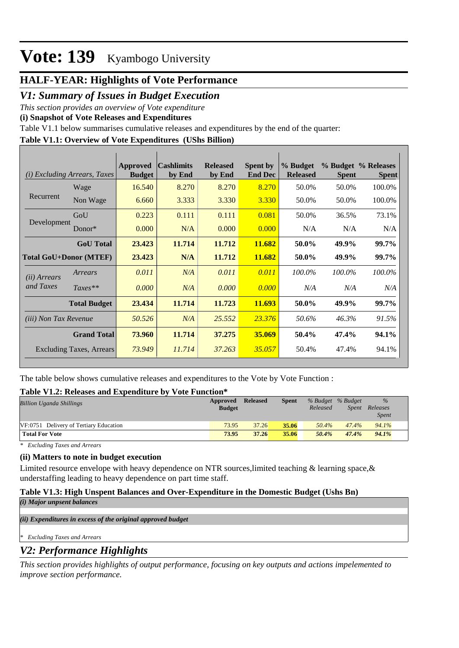## **HALF-YEAR: Highlights of Vote Performance**

## *V1: Summary of Issues in Budget Execution*

*This section provides an overview of Vote expenditure* 

**(i) Snapshot of Vote Releases and Expenditures**

Table V1.1 below summarises cumulative releases and expenditures by the end of the quarter:

### **Table V1.1: Overview of Vote Expenditures (UShs Billion)**

| (i)                           | <i>Excluding Arrears, Taxes</i> | <b>Approved</b><br><b>Budget</b> | <b>Cashlimits</b><br>by End | <b>Released</b><br>by End | <b>Spent by</b><br><b>End Dec</b> | % Budget<br><b>Released</b> | <b>Spent</b> | % Budget % Releases<br><b>Spent</b> |
|-------------------------------|---------------------------------|----------------------------------|-----------------------------|---------------------------|-----------------------------------|-----------------------------|--------------|-------------------------------------|
|                               | Wage                            | 16.540                           | 8.270                       | 8.270                     | 8.270                             | 50.0%                       | 50.0%        | 100.0%                              |
| Recurrent                     | Non Wage                        | 6.660                            | 3.333                       | 3.330                     | 3.330                             | 50.0%                       | 50.0%        | 100.0%                              |
|                               | GoU                             | 0.223                            | 0.111                       | 0.111                     | 0.081                             | 50.0%                       | 36.5%        | 73.1%                               |
| Development                   | Donor $*$                       | 0.000                            | N/A                         | 0.000                     | 0.000                             | N/A                         | N/A          | N/A                                 |
|                               | <b>GoU</b> Total                | 23.423                           | 11.714                      | 11.712                    | 11.682                            | 50.0%                       | 49.9%        | 99.7%                               |
| <b>Total GoU+Donor (MTEF)</b> |                                 | 23.423                           | N/A                         | 11.712                    | 11.682                            | 50.0%                       | 49.9%        | 99.7%                               |
| ( <i>ii</i> ) Arrears         | Arrears                         | 0.011                            | N/A                         | 0.011                     | 0.011                             | 100.0%                      | 100.0%       | 100.0%                              |
| and Taxes                     | $Taxes**$                       | 0.000                            | N/A                         | 0.000                     | 0.000                             | N/A                         | N/A          | N/A                                 |
|                               | <b>Total Budget</b>             | 23.434                           | 11.714                      | 11.723                    | 11.693                            | 50.0%                       | 49.9%        | 99.7%                               |
| <i>(iii)</i> Non Tax Revenue  |                                 | 50.526                           | N/A                         | 25.552                    | 23.376                            | 50.6%                       | 46.3%        | 91.5%                               |
|                               | <b>Grand Total</b>              | 73.960                           | 11.714                      | 37.275                    | 35.069                            | 50.4%                       | 47.4%        | 94.1%                               |
|                               | <b>Excluding Taxes, Arrears</b> | 73.949                           | 11.714                      | 37.263                    | 35.057                            | 50.4%                       | 47.4%        | 94.1%                               |

The table below shows cumulative releases and expenditures to the Vote by Vote Function :

### **Table V1.2: Releases and Expenditure by Vote Function\***

| <b>Billion Uganda Shillings</b>        | Approved<br><b>Budget</b> | <b>Released</b> | <b>Spent</b> | % Budget % Budget<br>Released | Spent | $\frac{0}{0}$<br>Releases<br><i>Spent</i> |  |
|----------------------------------------|---------------------------|-----------------|--------------|-------------------------------|-------|-------------------------------------------|--|
| VF:0751 Delivery of Tertiary Education | 73.95                     | 37.26           | 35.06        | 50.4%                         | 47.4% | 94.1%                                     |  |
| <b>Total For Vote</b>                  | 73.95                     | 37.26           | 35.06        | 50.4%                         | 47.4% | 94.1%                                     |  |

*\* Excluding Taxes and Arrears*

### **(ii) Matters to note in budget execution**

Limited resource envelope with heavy dependence on NTR sources, limited teaching & learning space, & understaffing leading to heavy dependence on part time staff.

#### **Table V1.3: High Unspent Balances and Over-Expenditure in the Domestic Budget (Ushs Bn)** *(i) Major unpsent balances*

*(ii) Expenditures in excess of the original approved budget*

*\* Excluding Taxes and Arrears*

### *V2: Performance Highlights*

*This section provides highlights of output performance, focusing on key outputs and actions impelemented to improve section performance.*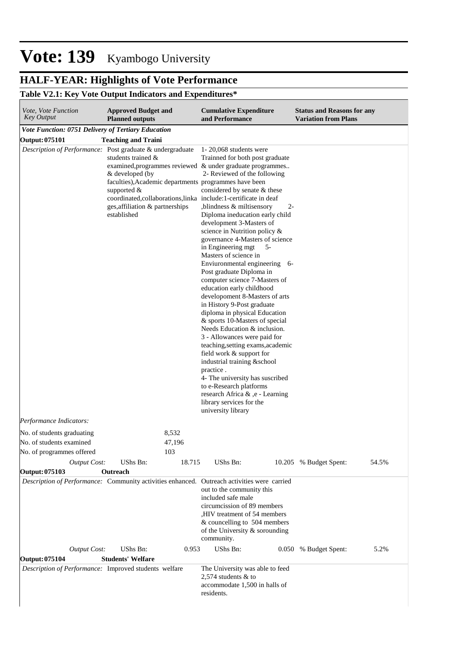# **HALF-YEAR: Highlights of Vote Performance**

## **Table V2.1: Key Vote Output Indicators and Expenditures\***

| Vote, Vote Function<br>Key Output                         | <b>Approved Budget and</b><br><b>Planned outputs</b>                                                     |        | <b>Cumulative Expenditure</b><br>and Performance                                                                                                                                                                                                                                                                                                                                                                                                                                                                                                                                                                                                                                                                                                                                                                                                                                                                                                                                                                                                                                                                                                     | <b>Status and Reasons for any</b><br><b>Variation from Plans</b> |       |
|-----------------------------------------------------------|----------------------------------------------------------------------------------------------------------|--------|------------------------------------------------------------------------------------------------------------------------------------------------------------------------------------------------------------------------------------------------------------------------------------------------------------------------------------------------------------------------------------------------------------------------------------------------------------------------------------------------------------------------------------------------------------------------------------------------------------------------------------------------------------------------------------------------------------------------------------------------------------------------------------------------------------------------------------------------------------------------------------------------------------------------------------------------------------------------------------------------------------------------------------------------------------------------------------------------------------------------------------------------------|------------------------------------------------------------------|-------|
| Vote Function: 0751 Delivery of Tertiary Education        |                                                                                                          |        |                                                                                                                                                                                                                                                                                                                                                                                                                                                                                                                                                                                                                                                                                                                                                                                                                                                                                                                                                                                                                                                                                                                                                      |                                                                  |       |
| <b>Output: 075101</b>                                     | <b>Teaching and Traini</b>                                                                               |        |                                                                                                                                                                                                                                                                                                                                                                                                                                                                                                                                                                                                                                                                                                                                                                                                                                                                                                                                                                                                                                                                                                                                                      |                                                                  |       |
| Description of Performance: Post graduate & undergraduate | students trained &<br>& developed (by<br>supported $&$<br>ges, affiliation & partnerships<br>established |        | $1 - 20,068$ students were<br>Trainned for both post graduate<br>examined, programmes reviewed & under graduate programmes<br>2- Reviewed of the following<br>faculties), Academic departments programmes have been<br>considered by senate & these<br>coordinated, collaborations, linka include: 1-certificate in deaf<br>,blindness & miltisensory<br>$2 -$<br>Diploma ineducation early child<br>development 3-Masters of<br>science in Nutrition policy &<br>governance 4-Masters of science<br>in Engineering mgt<br>5-<br>Masters of science in<br>Enviuronmental engineering 6-<br>Post graduate Diploma in<br>computer science 7-Masters of<br>education early childhood<br>developoment 8-Masters of arts<br>in History 9-Post graduate<br>diploma in physical Education<br>& sports 10-Masters of special<br>Needs Education & inclusion.<br>3 - Allowances were paid for<br>teaching, setting exams, academic<br>field work & support for<br>industrial training &school<br>practice.<br>4- The university has suscribed<br>to e-Research platforms<br>research Africa & ,e - Learning<br>library services for the<br>university library |                                                                  |       |
| Performance Indicators:                                   |                                                                                                          |        |                                                                                                                                                                                                                                                                                                                                                                                                                                                                                                                                                                                                                                                                                                                                                                                                                                                                                                                                                                                                                                                                                                                                                      |                                                                  |       |
| No. of students graduating                                |                                                                                                          | 8,532  |                                                                                                                                                                                                                                                                                                                                                                                                                                                                                                                                                                                                                                                                                                                                                                                                                                                                                                                                                                                                                                                                                                                                                      |                                                                  |       |
| No. of students examined                                  |                                                                                                          | 47,196 |                                                                                                                                                                                                                                                                                                                                                                                                                                                                                                                                                                                                                                                                                                                                                                                                                                                                                                                                                                                                                                                                                                                                                      |                                                                  |       |
| No. of programmes offered                                 |                                                                                                          | 103    |                                                                                                                                                                                                                                                                                                                                                                                                                                                                                                                                                                                                                                                                                                                                                                                                                                                                                                                                                                                                                                                                                                                                                      |                                                                  |       |
| <b>Output Cost:</b>                                       | UShs Bn:                                                                                                 | 18.715 | UShs Bn:                                                                                                                                                                                                                                                                                                                                                                                                                                                                                                                                                                                                                                                                                                                                                                                                                                                                                                                                                                                                                                                                                                                                             | 10.205 % Budget Spent:                                           | 54.5% |
| <b>Output: 075103</b>                                     | Outreach                                                                                                 |        |                                                                                                                                                                                                                                                                                                                                                                                                                                                                                                                                                                                                                                                                                                                                                                                                                                                                                                                                                                                                                                                                                                                                                      |                                                                  |       |
|                                                           |                                                                                                          |        | Description of Performance: Community activities enhanced. Outreach activities were carried<br>out to the community this<br>included safe male<br>circumcission of 89 members<br>, HIV treatment of 54 members<br>& councelling to 504 members<br>of the University & sorounding<br>community.                                                                                                                                                                                                                                                                                                                                                                                                                                                                                                                                                                                                                                                                                                                                                                                                                                                       |                                                                  |       |
| <b>Output Cost:</b>                                       | UShs Bn:                                                                                                 | 0.953  | UShs Bn:                                                                                                                                                                                                                                                                                                                                                                                                                                                                                                                                                                                                                                                                                                                                                                                                                                                                                                                                                                                                                                                                                                                                             | 0.050 % Budget Spent:                                            | 5.2%  |
| <b>Output: 075104</b>                                     | <b>Students' Welfare</b>                                                                                 |        |                                                                                                                                                                                                                                                                                                                                                                                                                                                                                                                                                                                                                                                                                                                                                                                                                                                                                                                                                                                                                                                                                                                                                      |                                                                  |       |
| Description of Performance: Improved students welfare     |                                                                                                          |        | The University was able to feed<br>2,574 students $&$ to<br>accommodate 1,500 in halls of<br>residents.                                                                                                                                                                                                                                                                                                                                                                                                                                                                                                                                                                                                                                                                                                                                                                                                                                                                                                                                                                                                                                              |                                                                  |       |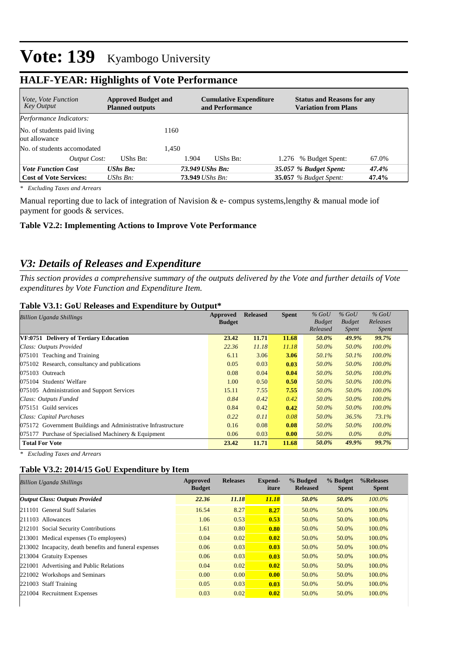| <b>Approved Budget and</b><br><i>Vote, Vote Function</i><br><b>Key Output</b><br><b>Planned outputs</b> |                                 |       | <b>Cumulative Expenditure</b><br>and Performance |  | <b>Status and Reasons for any</b><br><b>Variation from Plans</b> |       |
|---------------------------------------------------------------------------------------------------------|---------------------------------|-------|--------------------------------------------------|--|------------------------------------------------------------------|-------|
| Performance Indicators:                                                                                 |                                 |       |                                                  |  |                                                                  |       |
| No. of students paid living<br>out allowance                                                            |                                 | 1160  |                                                  |  |                                                                  |       |
| No. of students accomodated                                                                             |                                 | 1.450 |                                                  |  |                                                                  |       |
| Output Cost:                                                                                            | UShs Bn:                        | 1.904 | UShs Bn:                                         |  | 1.276 % Budget Spent:                                            | 67.0% |
| <b>Vote Function Cost</b>                                                                               | $UShs$ $Bn$ :                   |       | 73.949 UShs Bn:                                  |  | 35.057 % Budget Spent:                                           | 47.4% |
| <b>Cost of Vote Services:</b>                                                                           | $\mathit{UShs}\, \mathit{Bn}$ : |       | 73.949 UShs Bn:                                  |  | <b>35.057</b> % Budget Spent:                                    | 47.4% |

# **HALF-YEAR: Highlights of Vote Performance**

*\* Excluding Taxes and Arrears*

Manual reporting due to lack of integration of Navision & e- compus systems,lengthy & manual mode iof payment for goods & services.

#### **Table V2.2: Implementing Actions to Improve Vote Performance**

### *V3: Details of Releases and Expenditure*

*This section provides a comprehensive summary of the outputs delivered by the Vote and further details of Vote expenditures by Vote Function and Expenditure Item.*

#### **Table V3.1: GoU Releases and Expenditure by Output\***

| Billion Uganda Shillings                                      | Approved      | <b>Released</b> | <b>Spent</b> | $%$ GoU       | $%$ GoU       | $%$ GoU      |
|---------------------------------------------------------------|---------------|-----------------|--------------|---------------|---------------|--------------|
|                                                               | <b>Budget</b> |                 |              | <b>Budget</b> | <b>Budget</b> | Releases     |
|                                                               |               |                 |              | Released      | Spent         | <i>Spent</i> |
| VF:0751 Delivery of Tertiary Education                        | 23.42         | 11.71           | 11.68        | 50.0%         | 49.9%         | 99.7%        |
| Class: Outputs Provided                                       | 22.36         | 11.18           | 11.18        | 50.0%         | 50.0%         | $100.0\%$    |
| 075101 Teaching and Training                                  | 6.11          | 3.06            | 3.06         | 50.1%         | 50.1%         | $100.0\%$    |
| 075102 Research, consultancy and publications                 | 0.05          | 0.03            | 0.03         | 50.0%         | 50.0%         | $100.0\%$    |
| 075103 Outreach                                               | 0.08          | 0.04            | 0.04         | 50.0%         | 50.0%         | $100.0\%$    |
| 075104 Students' Welfare                                      | 1.00          | 0.50            | 0.50         | 50.0%         | 50.0%         | $100.0\%$    |
| 075105 Administration and Support Services                    | 15.11         | 7.55            | 7.55         | 50.0%         | 50.0%         | $100.0\%$    |
| Class: Outputs Funded                                         | 0.84          | 0.42            | 0.42         | 50.0%         | 50.0%         | $100.0\%$    |
| 075151 Guild services                                         | 0.84          | 0.42            | 0.42         | 50.0%         | 50.0%         | $100.0\%$    |
| Class: Capital Purchases                                      | 0.22          | 0.11            | 0.08         | 50.0%         | 36.5%         | 73.1%        |
| 075172 Government Buildings and Administrative Infrastructure | 0.16          | 0.08            | 0.08         | 50.0%         | 50.0%         | $100.0\%$    |
| 075177 Purchase of Specialised Machinery & Equipment          | 0.06          | 0.03            | 0.00         | 50.0%         | $0.0\%$       | $0.0\%$      |
| <b>Total For Vote</b>                                         | 23.42         | 11.71           | 11.68        | 50.0%         | 49.9%         | 99.7%        |

*\* Excluding Taxes and Arrears*

#### **Table V3.2: 2014/15 GoU Expenditure by Item**

| <b>Billion Uganda Shillings</b>                        | Approved<br><b>Budget</b> | <b>Releases</b> | Expend-<br>iture | % Budged<br><b>Released</b> | % Budget<br><b>Spent</b> | %Releases<br><b>Spent</b> |
|--------------------------------------------------------|---------------------------|-----------------|------------------|-----------------------------|--------------------------|---------------------------|
| <b>Output Class: Outputs Provided</b>                  | 22.36                     | 11.18           | 11.18            | 50.0%                       | 50.0%                    | 100.0%                    |
| 211101 General Staff Salaries                          | 16.54                     | 8.27            | 8.27             | 50.0%                       | 50.0%                    | 100.0%                    |
| 211103 Allowances                                      | 1.06                      | 0.53            | 0.53             | 50.0%                       | 50.0%                    | 100.0%                    |
| 212101 Social Security Contributions                   | 1.61                      | 0.80            | 0.80             | 50.0%                       | 50.0%                    | 100.0%                    |
| 213001 Medical expenses (To employees)                 | 0.04                      | 0.02            | 0.02             | 50.0%                       | 50.0%                    | 100.0%                    |
| 213002 Incapacity, death benefits and funeral expenses | 0.06                      | 0.03            | 0.03             | 50.0%                       | 50.0%                    | 100.0%                    |
| 213004 Gratuity Expenses                               | 0.06                      | 0.03            | 0.03             | 50.0%                       | 50.0%                    | 100.0%                    |
| 221001 Advertising and Public Relations                | 0.04                      | 0.02            | 0.02             | 50.0%                       | 50.0%                    | 100.0%                    |
| 221002 Workshops and Seminars                          | 0.00                      | 0.00            | 0.00             | 50.0%                       | 50.0%                    | 100.0%                    |
| 221003 Staff Training                                  | 0.05                      | 0.03            | 0.03             | 50.0%                       | 50.0%                    | 100.0%                    |
| 221004 Recruitment Expenses                            | 0.03                      | 0.02            | 0.02             | 50.0%                       | 50.0%                    | 100.0%                    |